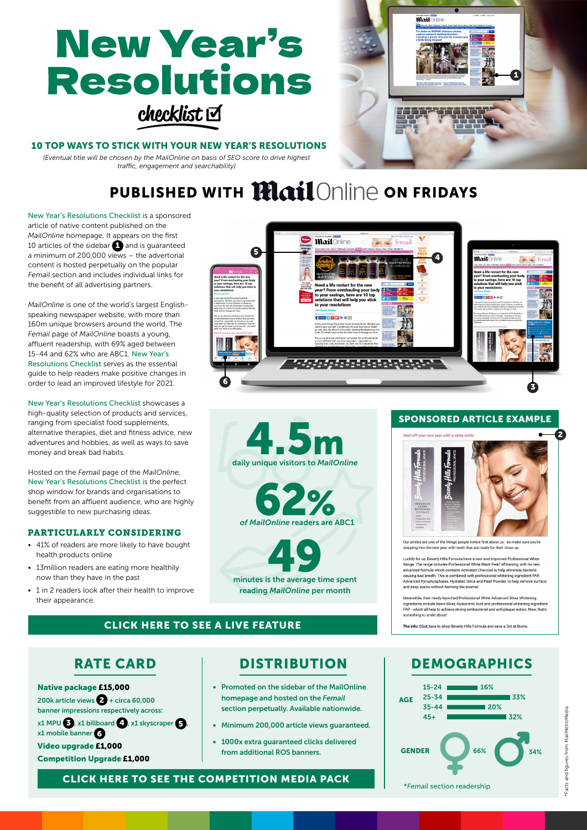# **New Year's Resolutions**  $checklist$



#### 10 TOP WAYS TO STICK WITH YOUR NEW YEAR'S RESOLUTIONS

*(Eventual title will be chosen by the MailOnline on basis of SEO score to drive highest traffic, engagement and searchability)*

## PUBLISHED WITH **Mail** Online on Fridays

New Year's Resolutions Checklist is a sponsored article of native content published on the *MailOnline* homepage*.* It appears on the first 10 articles of the sidebar  $\bigcap$  and is guaranteed a minimum of 200,000 views – the advertorial content is hosted perpetually on the popular *Femail* section and includes individual links for the benefit of all advertising partners.

*MailOnline* is one of the world's largest Englishspeaking newspaper website, with more than 160m unique browsers around the world. The *Femail* page of *MailOnline* boasts a young, affluent readership, with 69% aged between 15-44 and 62% who are ABC1. New Year's Resolutions Checklist serves as the essential guide to help readers make positive changes in order to lead an improved lifestyle for 2021.

New Year's Resolutions Checklist showcases a high-quality selection of products and services, ranging from specialist food supplements, alternative therapies, diet and fitness advice, new adventures and hobbies, as well as ways to save money and break bad habits.

Hosted on the *Femail* page of the *MailOnline*, New Year's Resolutions Checklist is the perfect shop window for brands and organisations to benefit from an affluent audience, who are highly suggestible to new purchasing ideas.

#### **PARTICULARLY CONSIDERING**

- 41% of readers are more likely to have bought health products online
- 13million readers are eating more healthily now than they have in the past
- 1 in 2 readers look after their health to improve their appearance.

## [CLICK HERE TO SEE A LIVE FEATURE](https://www.dailymail.co.uk/femail/article-10317075/Smash-New-Years-resolutions-10-tips-better-2022.html)

Native package £15,000 200k article views  $2 +$  circa 60,000 banner impressions respectively across:  $x1$  MPU  $\bigodot$ ,  $x1$  billboard  $\bigodot$ ,  $x1$  skyscraper  $\bigodot$ x1 mobile banner 6

Video upgrade £1,000 Competition Upgrade £1,000

daily unique visitors to 4.5m *MailOnline*

minutes is the average time spent

reading *MailOnline* per month

readers are ABC1 %

*of MailOnline* 

**62** 

- Promoted on the sidebar of the MailOnline homepage and hosted on the *Femail* section perpetually. Available nationwide.
- Minimum 200,000 article views guaranteed.
- 1000x extra guaranteed clicks delivered from additional ROS banners.



Our smiles are one of the things people notice first about us - so make<br>stepping into the new year with teeth that are ready for their close up.

Luckily for us, Beverly Hills Formula have a new and improved Professional White Range. The range includes Professional White Black Pearl White<br>includes Professional which contains Activated Charcoal to help eliminate bac

vhile, their newly launched Professional White Advanced Silver White ingredients include Nano-Silver, Hyaluronic Acid and professional whitening ingredi<br>PAP - which all help to achieve strong antibacterial and anti-plaque action. Now, tha ing to smile about

The info: Click here to shop Beverly Hills Formula and save a 3rd at Boots

## RATE CARD | DISTRIBUTION | DEMOGRAPHICS



[CLICK HERE TO SEE THE COMPETITION MEDIA PACK](https://www.hurstmediacompany.co.uk/wp-content/uploads/2021/05/Competitions-published-with-the-national-press-and-Hurst-Media.pdf)

2

SPONSORED ARTICLE EXAMPLE

 $\overline{\mathbf{a}}$ oil $\overline{\mathbf{a}}$ 

 $\overline{\textbf{S}}$  3  $\overline{\textbf{S}}$  3  $\overline{\textbf{S}}$  3  $\overline{\textbf{S}}$  3  $\overline{\textbf{S}}$  3  $\overline{\textbf{S}}$  3  $\overline{\textbf{S}}$  3  $\overline{\textbf{S}}$  3  $\overline{\textbf{S}}$  3  $\overline{\textbf{S}}$  3  $\overline{\textbf{S}}$  3  $\overline{\textbf{S}}$  3  $\overline{\textbf{S}}$  3  $\overline{\textbf{S}}$  3  $\overline{\textbf{S}}$  3  $\overline{\textbf{S}}$ 

 $\leq$  femail

<sup>4</sup> <sup>5</sup>

**Mail**Online